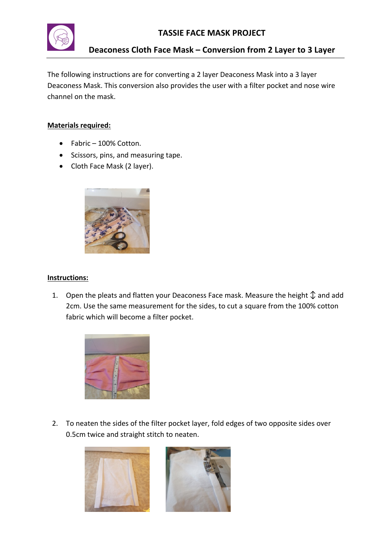

**Deaconess Cloth Face Mask – Conversion from 2 Layer to 3 Layer**

The following instructions are for converting a 2 layer Deaconess Mask into a 3 layer Deaconess Mask. This conversion also provides the user with a filter pocket and nose wire channel on the mask.

## **Materials required:**

- Fabric 100% Cotton.
- Scissors, pins, and measuring tape.
- Cloth Face Mask (2 layer).



## **Instructions:**

1. Open the pleats and flatten your Deaconess Face mask. Measure the height  $\mathcal{D}$  and add 2cm. Use the same measurement for the sides, to cut a square from the 100% cotton fabric which will become a filter pocket.



2. To neaten the sides of the filter pocket layer, fold edges of two opposite sides over 0.5cm twice and straight stitch to neaten.

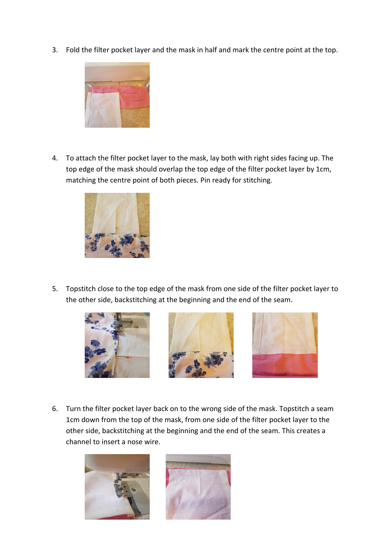3. Fold the filter pocket layer and the mask in half and mark the centre point at the top.



4. To attach the filter pocket layer to the mask, lay both with right sides facing up. The top edge of the mask should overlap the top edge of the filter pocket layer by 1cm, matching the centre point of both pieces. Pin ready for stitching.



5. Topstitch close to the top edge of the mask from one side of the filter pocket layer to the other side, backstitching at the beginning and the end of the seam.







6. Turn the filter pocket layer back on to the wrong side of the mask. Topstitch a seam 1cm down from the top of the mask, from one side of the filter pocket layer to the other side, backstitching at the beginning and the end of the seam. This creates a channel to insert a nose wire.